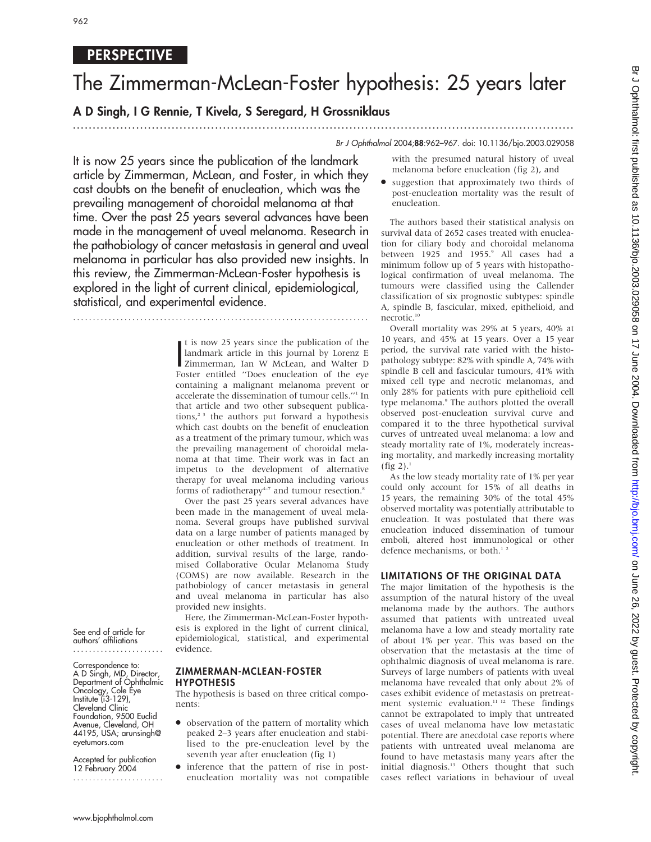# PERSPECTIVE

# The Zimmerman-McLean-Foster hypothesis: 25 years later

# A D Singh, I G Rennie, T Kivela, S Seregard, H Grossniklaus

# ............................................................................................................................... Br J Ophthalmol 2004;88:962–967. doi: 10.1136/bjo.2003.029058

It is now 25 years since the publication of the landmark article by Zimmerman, McLean, and Foster, in which they cast doubts on the benefit of enucleation, which was the prevailing management of choroidal melanoma at that time. Over the past 25 years several advances have been made in the management of uveal melanoma. Research in the pathobiology of cancer metastasis in general and uveal melanoma in particular has also provided new insights. In this review, the Zimmerman-McLean-Foster hypothesis is explored in the light of current clinical, epidemiological, statistical, and experimental evidence.

...........................................................................

It is now 25 years since the publication of the<br>landmark article in this journal by Lorenz E<br>Zimmerman, Ian W McLean, and Walter D<br>Externantilled "Doss enucleation of the ave t is now 25 years since the publication of the landmark article in this journal by Lorenz E Foster entitled ''Does enucleation of the eye containing a malignant melanoma prevent or accelerate the dissemination of tumour cells.''1 In that article and two other subsequent publications, $2^3$  the authors put forward a hypothesis which cast doubts on the benefit of enucleation as a treatment of the primary tumour, which was the prevailing management of choroidal melanoma at that time. Their work was in fact an impetus to the development of alternative therapy for uveal melanoma including various forms of radiotherapy $4-7$  and tumour resection.<sup>8</sup>

Over the past 25 years several advances have been made in the management of uveal melanoma. Several groups have published survival data on a large number of patients managed by enucleation or other methods of treatment. In addition, survival results of the large, randomised Collaborative Ocular Melanoma Study (COMS) are now available. Research in the pathobiology of cancer metastasis in general and uveal melanoma in particular has also provided new insights.

Here, the Zimmerman-McLean-Foster hypothesis is explored in the light of current clinical, epidemiological, statistical, and experimental evidence.

See end of article for authors' affiliations .......................

Correspondence to: A D Singh, MD, Director, Department of Ophthalmic Oncology, Cole Eye Institute (i3-129), Cleveland Clinic Foundation, 9500 Euclid Avenue, Cleveland, OH 44195, USA; arunsingh@ eyetumors.com

Accepted for publication 12 February 2004 .......................

#### ZIMMERMAN-MCLEAN-FOSTER HYPOTHESIS

The hypothesis is based on three critical components:

- $\bullet$  observation of the pattern of mortality which peaked 2–3 years after enucleation and stabilised to the pre-enucleation level by the seventh year after enucleation (fig 1)
- N inference that the pattern of rise in postenucleation mortality was not compatible

with the presumed natural history of uveal melanoma before enucleation (fig 2), and

N suggestion that approximately two thirds of post-enucleation mortality was the result of enucleation.

The authors based their statistical analysis on survival data of 2652 cases treated with enucleation for ciliary body and choroidal melanoma between 1925 and 1955.<sup>9</sup> All cases had a minimum follow up of 5 years with histopathological confirmation of uveal melanoma. The tumours were classified using the Callender classification of six prognostic subtypes: spindle A, spindle B, fascicular, mixed, epithelioid, and necrotic.10

Overall mortality was 29% at 5 years, 40% at 10 years, and 45% at 15 years. Over a 15 year period, the survival rate varied with the histopathology subtype: 82% with spindle A, 74% with spindle B cell and fascicular tumours, 41% with mixed cell type and necrotic melanomas, and only 28% for patients with pure epithelioid cell type melanoma.<sup>9</sup> The authors plotted the overall observed post-enucleation survival curve and compared it to the three hypothetical survival curves of untreated uveal melanoma: a low and steady mortality rate of 1%, moderately increasing mortality, and markedly increasing mortality  $(fig 2).$ <sup>1</sup>

As the low steady mortality rate of 1% per year could only account for 15% of all deaths in 15 years, the remaining 30% of the total 45% observed mortality was potentially attributable to enucleation. It was postulated that there was enucleation induced dissemination of tumour emboli, altered host immunological or other defence mechanisms, or both.<sup>12</sup>

#### LIMITATIONS OF THE ORIGINAL DATA

The major limitation of the hypothesis is the assumption of the natural history of the uveal melanoma made by the authors. The authors assumed that patients with untreated uveal melanoma have a low and steady mortality rate of about 1% per year. This was based on the observation that the metastasis at the time of ophthalmic diagnosis of uveal melanoma is rare. Surveys of large numbers of patients with uveal melanoma have revealed that only about 2% of cases exhibit evidence of metastasis on pretreatment systemic evaluation.<sup>11-12</sup> These findings cannot be extrapolated to imply that untreated cases of uveal melanoma have low metastatic potential. There are anecdotal case reports where patients with untreated uveal melanoma are found to have metastasis many years after the initial diagnosis.<sup>13</sup> Others thought that such cases reflect variations in behaviour of uveal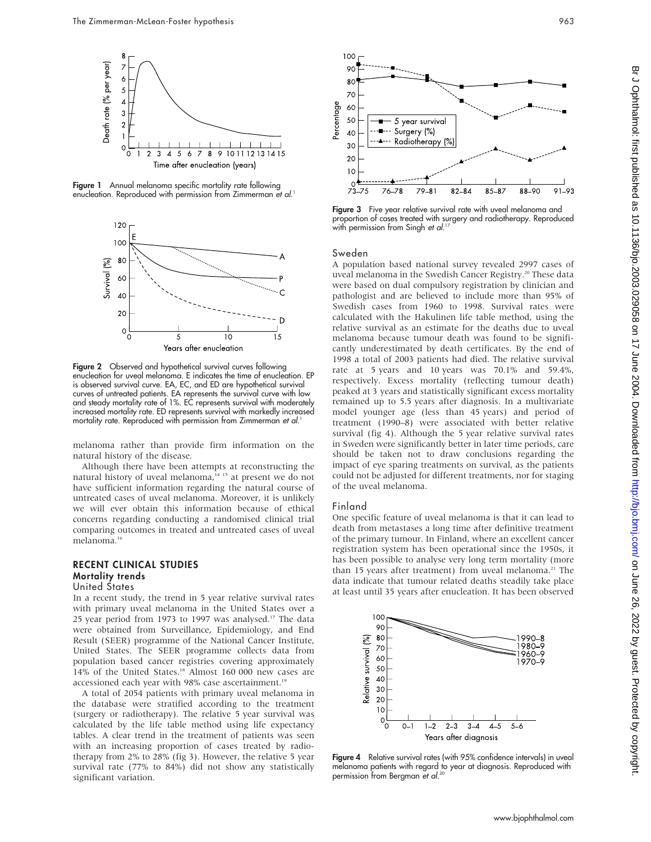

Figure 1 Annual melanoma specific mortality rate following enucleation. Reproduced with permission from Zimmerman et al. 1



Figure 2 Observed and hypothetical survival curves following enucleation for uveal melanoma. E indicates the time of enucleation. EP is observed survival curve. EA, EC, and ED are hypothetical survival curves of untreated patients. EA represents the survival curve with low and steady mortality rate of 1%. EC represents survival with moderately increased mortality rate. ED represents survival with markedly increased mortality rate. Reproduced with permission from Zimmerman et al. 1

melanoma rather than provide firm information on the natural history of the disease.

Although there have been attempts at reconstructing the natural history of uveal melanoma,<sup>14 15</sup> at present we do not have sufficient information regarding the natural course of untreated cases of uveal melanoma. Moreover, it is unlikely we will ever obtain this information because of ethical concerns regarding conducting a randomised clinical trial comparing outcomes in treated and untreated cases of uveal melanoma.<sup>16</sup>

#### RECENT CLINICAL STUDIES Mortality trends United States

In a recent study, the trend in 5 year relative survival rates with primary uveal melanoma in the United States over a 25 year period from 1973 to 1997 was analysed.<sup>17</sup> The data were obtained from Surveillance, Epidemiology, and End Result (SEER) programme of the National Cancer Institute, United States. The SEER programme collects data from population based cancer registries covering approximately 14% of the United States.18 Almost 160 000 new cases are accessioned each year with 98% case ascertainment.<sup>19</sup>

A total of 2054 patients with primary uveal melanoma in the database were stratified according to the treatment (surgery or radiotherapy). The relative 5 year survival was calculated by the life table method using life expectancy tables. A clear trend in the treatment of patients was seen with an increasing proportion of cases treated by radiotherapy from 2% to 28% (fig 3). However, the relative 5 year survival rate (77% to 84%) did not show any statistically significant variation.



Figure 3 Five year relative survival rate with uveal melanoma and proportion of cases treated with surgery and radiotherapy. Reproduced with permission from Singh *et al*.17

#### Sweden

A population based national survey revealed 2997 cases of uveal melanoma in the Swedish Cancer Registry.<sup>20</sup> These data were based on dual compulsory registration by clinician and pathologist and are believed to include more than 95% of Swedish cases from 1960 to 1998. Survival rates were calculated with the Hakulinen life table method, using the relative survival as an estimate for the deaths due to uveal melanoma because tumour death was found to be significantly underestimated by death certificates. By the end of 1998 a total of 2003 patients had died. The relative survival rate at 5 years and 10 years was 70.1% and 59.4%, respectively. Excess mortality (reflecting tumour death) peaked at 3 years and statistically significant excess mortality remained up to 5.5 years after diagnosis. In a multivariate model younger age (less than 45 years) and period of treatment (1990–8) were associated with better relative survival (fig 4). Although the 5 year relative survival rates in Sweden were significantly better in later time periods, care should be taken not to draw conclusions regarding the impact of eye sparing treatments on survival, as the patients could not be adjusted for different treatments, nor for staging of the uveal melanoma.

#### Finland

One specific feature of uveal melanoma is that it can lead to death from metastases a long time after definitive treatment of the primary tumour. In Finland, where an excellent cancer registration system has been operational since the 1950s, it has been possible to analyse very long term mortality (more than 15 years after treatment) from uveal melanoma.<sup>21</sup> The data indicate that tumour related deaths steadily take place at least until 35 years after enucleation. It has been observed



Figure 4 Relative survival rates (with 95% confidence intervals) in uveal melanoma patients with regard to year at diagnosis. Reproduced with permission from Bergman et al. 20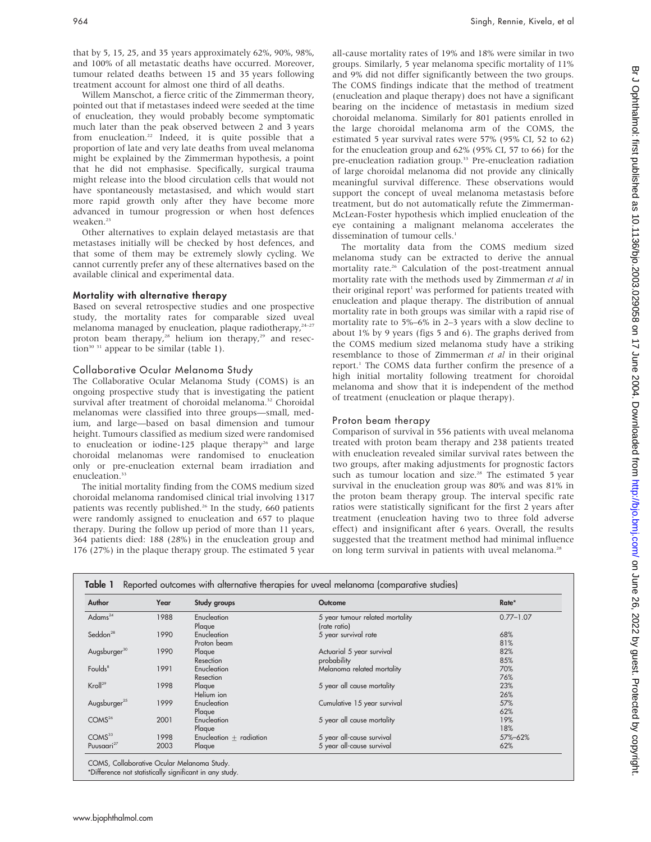that by 5, 15, 25, and 35 years approximately 62%, 90%, 98%, and 100% of all metastatic deaths have occurred. Moreover, tumour related deaths between 15 and 35 years following treatment account for almost one third of all deaths.

Willem Manschot, a fierce critic of the Zimmerman theory, pointed out that if metastases indeed were seeded at the time of enucleation, they would probably become symptomatic much later than the peak observed between 2 and 3 years from enucleation.<sup>22</sup> Indeed, it is quite possible that a proportion of late and very late deaths from uveal melanoma might be explained by the Zimmerman hypothesis, a point that he did not emphasise. Specifically, surgical trauma might release into the blood circulation cells that would not have spontaneously metastasised, and which would start more rapid growth only after they have become more advanced in tumour progression or when host defences weaken.23

Other alternatives to explain delayed metastasis are that metastases initially will be checked by host defences, and that some of them may be extremely slowly cycling. We cannot currently prefer any of these alternatives based on the available clinical and experimental data.

#### Mortality with alternative therapy

Based on several retrospective studies and one prospective study, the mortality rates for comparable sized uveal melanoma managed by enucleation, plaque radiotherapy, $24-27$ proton beam therapy,<sup>28</sup> helium ion therapy,<sup>29</sup> and resection<sup>30 31</sup> appear to be similar (table 1).

#### Collaborative Ocular Melanoma Study

The Collaborative Ocular Melanoma Study (COMS) is an ongoing prospective study that is investigating the patient survival after treatment of choroidal melanoma.<sup>32</sup> Choroidal melanomas were classified into three groups—small, medium, and large—based on basal dimension and tumour height. Tumours classified as medium sized were randomised to enucleation or iodine-125 plaque therapy<sup>26</sup> and large choroidal melanomas were randomised to enucleation only or pre-enucleation external beam irradiation and enucleation.<sup>33</sup>

The initial mortality finding from the COMS medium sized choroidal melanoma randomised clinical trial involving 1317 patients was recently published.<sup>26</sup> In the study, 660 patients were randomly assigned to enucleation and 657 to plaque therapy. During the follow up period of more than 11 years, 364 patients died: 188 (28%) in the enucleation group and 176 (27%) in the plaque therapy group. The estimated 5 year

all-cause mortality rates of 19% and 18% were similar in two groups. Similarly, 5 year melanoma specific mortality of 11% and 9% did not differ significantly between the two groups. The COMS findings indicate that the method of treatment (enucleation and plaque therapy) does not have a significant bearing on the incidence of metastasis in medium sized choroidal melanoma. Similarly for 801 patients enrolled in the large choroidal melanoma arm of the COMS, the estimated 5 year survival rates were 57% (95% CI, 52 to 62) for the enucleation group and 62% (95% CI, 57 to 66) for the pre-enucleation radiation group.<sup>33</sup> Pre-enucleation radiation of large choroidal melanoma did not provide any clinically meaningful survival difference. These observations would support the concept of uveal melanoma metastasis before treatment, but do not automatically refute the Zimmerman-McLean-Foster hypothesis which implied enucleation of the eye containing a malignant melanoma accelerates the dissemination of tumour cells.<sup>1</sup>

The mortality data from the COMS medium sized melanoma study can be extracted to derive the annual mortality rate.<sup>26</sup> Calculation of the post-treatment annual mortality rate with the methods used by Zimmerman et al in their original report<sup>1</sup> was performed for patients treated with enucleation and plaque therapy. The distribution of annual mortality rate in both groups was similar with a rapid rise of mortality rate to 5%–6% in 2–3 years with a slow decline to about 1% by 9 years (figs 5 and 6). The graphs derived from the COMS medium sized melanoma study have a striking resemblance to those of Zimmerman et al in their original report.1 The COMS data further confirm the presence of a high initial mortality following treatment for choroidal melanoma and show that it is independent of the method of treatment (enucleation or plaque therapy).

#### Proton beam therapy

Comparison of survival in 556 patients with uveal melanoma treated with proton beam therapy and 238 patients treated with enucleation revealed similar survival rates between the two groups, after making adjustments for prognostic factors such as tumour location and size.<sup>28</sup> The estimated 5 year survival in the enucleation group was 80% and was 81% in the proton beam therapy group. The interval specific rate ratios were statistically significant for the first 2 years after treatment (enucleation having two to three fold adverse effect) and insignificant after 6 years. Overall, the results suggested that the treatment method had minimal influence on long term survival in patients with uveal melanoma.<sup>28</sup>

| Author                   | Year | Study groups                | Outcome                                         | Rate*         |
|--------------------------|------|-----------------------------|-------------------------------------------------|---------------|
| Adams <sup>24</sup>      | 1988 | Enucleation<br>Plaque       | 5 year tumour related mortality<br>(rate ratio) | $0.77 - 1.07$ |
| Seddon $^{28}$           | 1990 | Enucleation<br>Proton beam  | 5 year survival rate                            | 68%<br>81%    |
| Augsburger <sup>30</sup> | 1990 | Plaque<br>Resection         | Actuarial 5 year survival<br>probability        | 82%<br>85%    |
| Foulds <sup>8</sup>      | 1991 | Enucleation<br>Resection    | Melanoma related mortality                      | 70%<br>76%    |
| Kroll <sup>29</sup>      | 1998 | Plaque<br>Helium ion        | 5 year all cause mortality                      | 23%<br>26%    |
| Augsburger <sup>25</sup> | 1999 | Enucleation<br>Plaque       | Cumulative 15 year survival                     | 57%<br>62%    |
| COMS <sup>26</sup>       | 2001 | Enucleation<br>Plaque       | 5 year all cause mortality                      | 19%<br>18%    |
| COMS <sup>33</sup>       | 1998 | Enucleation $\pm$ radiation | 5 year all-cause survival                       | 57%-62%       |
| Puusaari <sup>27</sup>   | 2003 | Plaque                      | 5 year all-cause survival                       | 62%           |

\*Difference not statistically significant in any study.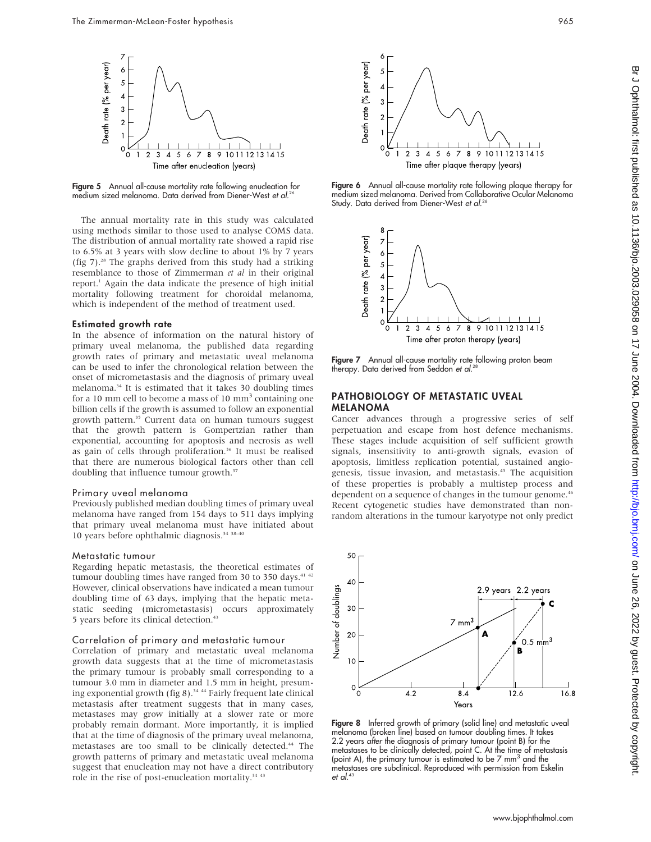

Figure 5 Annual all-cause mortality rate following enucleation for medium sized melanoma. Data derived from Diener-West et al.<sup>26</sup>

The annual mortality rate in this study was calculated using methods similar to those used to analyse COMS data. The distribution of annual mortality rate showed a rapid rise to 6.5% at 3 years with slow decline to about 1% by 7 years (fig 7).28 The graphs derived from this study had a striking resemblance to those of Zimmerman et al in their original report.<sup>1</sup> Again the data indicate the presence of high initial mortality following treatment for choroidal melanoma, which is independent of the method of treatment used.

#### Estimated growth rate

In the absence of information on the natural history of primary uveal melanoma, the published data regarding growth rates of primary and metastatic uveal melanoma can be used to infer the chronological relation between the onset of micrometastasis and the diagnosis of primary uveal melanoma.34 It is estimated that it takes 30 doubling times for a 10 mm cell to become a mass of 10 mm<sup>3</sup> containing one billion cells if the growth is assumed to follow an exponential growth pattern.<sup>35</sup> Current data on human tumours suggest that the growth pattern is Gompertzian rather than exponential, accounting for apoptosis and necrosis as well as gain of cells through proliferation.<sup>36</sup> It must be realised that there are numerous biological factors other than cell doubling that influence tumour growth.<sup>37</sup>

#### Primary uveal melanoma

Previously published median doubling times of primary uveal melanoma have ranged from 154 days to 511 days implying that primary uveal melanoma must have initiated about 10 years before ophthalmic diagnosis.34 38–40

#### Metastatic tumour

Regarding hepatic metastasis, the theoretical estimates of tumour doubling times have ranged from 30 to 350 days.<sup>41 42</sup> However, clinical observations have indicated a mean tumour doubling time of 63 days, implying that the hepatic metastatic seeding (micrometastasis) occurs approximately 5 years before its clinical detection.43

# Correlation of primary and metastatic tumour

Correlation of primary and metastatic uveal melanoma growth data suggests that at the time of micrometastasis the primary tumour is probably small corresponding to a tumour 3.0 mm in diameter and 1.5 mm in height, presuming exponential growth (fig  $8$ ).<sup>34 44</sup> Fairly frequent late clinical metastasis after treatment suggests that in many cases, metastases may grow initially at a slower rate or more probably remain dormant. More importantly, it is implied that at the time of diagnosis of the primary uveal melanoma, metastases are too small to be clinically detected.<sup>44</sup> The growth patterns of primary and metastatic uveal melanoma suggest that enucleation may not have a direct contributory role in the rise of post-enucleation mortality.<sup>34 43</sup>



Figure 6 Annual all-cause mortality rate following plaque therapy for medium sized melanoma. Derived from Collaborative Ocular Melanoma Study. Data derived from Diener-West *et al*.26



Figure 7 Annual all-cause mortality rate following proton beam therapy. Data derived from Seddon *et al*.28

### PATHOBIOLOGY OF METASTATIC UVEAL MELANOMA

Cancer advances through a progressive series of self perpetuation and escape from host defence mechanisms. These stages include acquisition of self sufficient growth signals, insensitivity to anti-growth signals, evasion of apoptosis, limitless replication potential, sustained angiogenesis, tissue invasion, and metastasis.<sup>45</sup> The acquisition of these properties is probably a multistep process and dependent on a sequence of changes in the tumour genome.<sup>46</sup> Recent cytogenetic studies have demonstrated than nonrandom alterations in the tumour karyotype not only predict



Figure 8 Inferred growth of primary (solid line) and metastatic uveal melanoma (broken line) based on tumour doubling times. It takes 2.2 years after the diagnosis of primary tumour (point B) for the metastases to be clinically detected, point C. At the time of metastasis (point A), the primary tumour is estimated to be  $7 \text{ mm}^3$  and the metastases are subclinical. Reproduced with permission from Eskelin et al. 43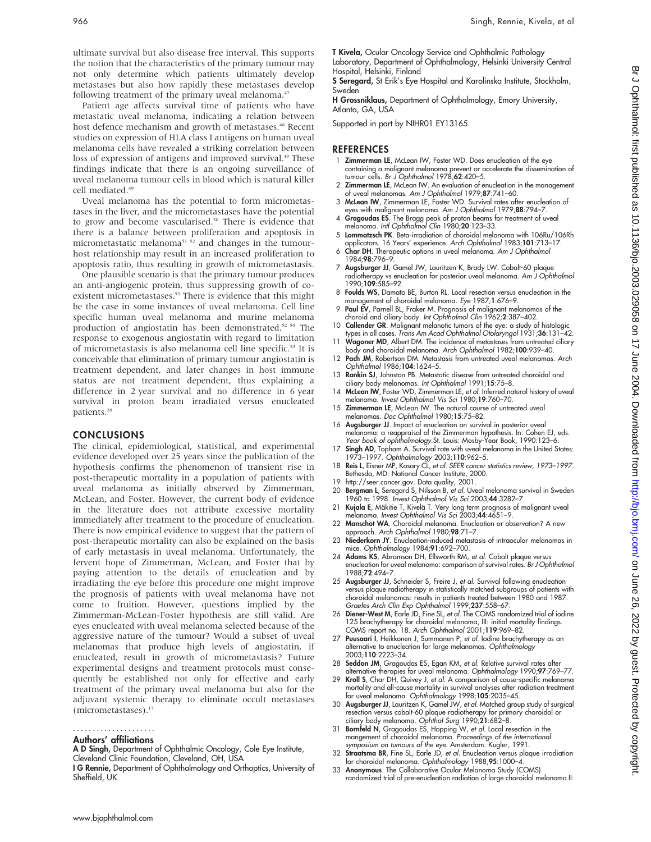ultimate survival but also disease free interval. This supports the notion that the characteristics of the primary tumour may not only determine which patients ultimately develop metastases but also how rapidly these metastases develop following treatment of the primary uveal melanoma.<sup>47</sup>

Patient age affects survival time of patients who have metastatic uveal melanoma, indicating a relation between host defence mechanism and growth of metastases.<sup>48</sup> Recent studies on expression of HLA class I antigens on human uveal melanoma cells have revealed a striking correlation between loss of expression of antigens and improved survival.<sup>49</sup> These findings indicate that there is an ongoing surveillance of uveal melanoma tumour cells in blood which is natural killer cell mediated.<sup>49</sup>

Uveal melanoma has the potential to form micrometastases in the liver, and the micrometastases have the potential to grow and become vascularised.<sup>50</sup> There is evidence that there is a balance between proliferation and apoptosis in micrometastatic melanoma $51$   $52$  and changes in the tumourhost relationship may result in an increased proliferation to apoptosis ratio, thus resulting in growth of micrometastasis.

One plausible scenario is that the primary tumour produces an anti-angiogenic protein, thus suppressing growth of coexistent micrometastases.<sup>53</sup> There is evidence that this might be the case in some instances of uveal melanoma. Cell line specific human uveal melanoma and murine melanoma production of angiostatin has been demonstrated.<sup>52 54</sup> The response to exogenous angiostatin with regard to limitation of micrometastasis is also melanoma cell line specific.<sup>52</sup> It is conceivable that elimination of primary tumour angiostatin is treatment dependent, and later changes in host immune status are not treatment dependent, thus explaining a difference in 2 year survival and no difference in 6 year survival in proton beam irradiated versus enucleated patients.<sup>28</sup>

#### CONCLUSIONS

The clinical, epidemiological, statistical, and experimental evidence developed over 25 years since the publication of the hypothesis confirms the phenomenon of transient rise in post-therapeutic mortality in a population of patients with uveal melanoma as initially observed by Zimmerman, McLean, and Foster. However, the current body of evidence in the literature does not attribute excessive mortality immediately after treatment to the procedure of enucleation. There is now empirical evidence to suggest that the pattern of post-therapeutic mortality can also be explained on the basis of early metastasis in uveal melanoma. Unfortunately, the fervent hope of Zimmerman, McLean, and Foster that by paying attention to the details of enucleation and by irradiating the eye before this procedure one might improve the prognosis of patients with uveal melanoma have not come to fruition. However, questions implied by the Zimmerman-McLean-Foster hypothesis are still valid. Are eyes enucleated with uveal melanoma selected because of the aggressive nature of the tumour? Would a subset of uveal melanomas that produce high levels of angiostatin, if enucleated, result in growth of micrometastasis? Future experimental designs and treatment protocols must consequently be established not only for effective and early treatment of the primary uveal melanoma but also for the adjuvant systemic therapy to eliminate occult metastases (micrometastases).<sup>17</sup>

# .....................

#### Authors' affiliations

A D Singh, Department of Ophthalmic Oncology, Cole Eye Institute, Cleveland Clinic Foundation, Cleveland, OH, USA

T Kivela, Ocular Oncology Service and Ophthalmic Pathology Laboratory, Department of Ophthalmology, Helsinki University Central Hospital, Helsinki, Finland

S Seregard, St Erik's Eye Hospital and Karolinska Institute, Stockholm, Sweden

H Grossniklaus, Department of Ophthalmology, Emory University, Atlanta, GA, USA

Supported in part by NIHR01 EY13165.

#### REFERENCES

- 1 **Zimmerman LE**, McLean IW, Foster WD. Does enucleation of the eye containing a malignant melanoma prevent or accelerate the dissemination of tumour cells. Br J Ophthalmol 1978;62:420–5.
- 2 **Zimmerman LE**, McLean IW. An evaluation of enucleation in the management of uveal melanomas. Am J Ophthalmol 1979;87:741–60.
- 3 McLean IW, Zimmerman LE, Foster WD. Survival rates after enucleation of eyes with malignant melanoma. Am J Ophthalmol 1979;88:794–7.
- 4 Gragoudas ES. The Bragg peak of proton beams for treatment of uveal melanoma. Intl Ophthalmol Clin 1980;20:123–33.
- 5 Lommatzsch PK. Beta-irradiation of choroidal melanoma with 106Ru/106Rh
- applicators. 16 Years' experience. Arch Ophthalmol 1983;**101**:713–17.<br>6 **Char DH**. Therapeutic options in uveal melanoma. Am J Ophthalmol 1984;98:796–9.
- 7 Augsburger JJ, Gamel JW, Lauritzen K, Brady LW. Cobalt-60 plaque radiotherapy vs enucleation for posterior uveal melanoma. Am J Ophthalmol 1990;109:585–92.
- 8 Foulds WS, Damato BE, Burton RL. Local resection versus enucleation in the management of choroidal melanoma. Eye 1987;1:676–9.
- 9 Paul EV, Parnell BL, Fraker M. Prognosis of malignant melanomas of the choroid and ciliary body. Int Ophthalmol Clin 1962;2:387–402.
- 10 Callender GR. Malignant melanotic tumors of the eye: a study of histologic types in all cases. Trans Am Acad Ophthalmol Otolaryngol 1931;36:131–42.
- 11 Wagoner MD, Albert DM. The incidence of metastases from untreated ciliary body and choroidal melanoma. Arch Ophthalmol 1982;100:939–40.
- 12 Pach JM, Robertson DM. Metastasis from untreated uveal melanomas. Arch Ophthalmol 1986;104:1624–5.
- 13 Rankin SJ, Johnston PB. Metastatic disease from untreated choroidal and ciliary body melanomas. Int Ophthalmol 1991;15:75–8.
- 14 McLean IW, Foster WD, Zimmerman LE, et al. Inferred natural history of uveal melanoma. Invest Ophthalmol Vis Sci 1980;19:760–70.
- 15 Zimmerman LE, McLean IW. The natural course of untreated uveal melanomas. Doc Ophthalmol 1980;15:75–82.
- 16 Augsburger JJ. Impact of enucleation on survival in posterior uveal melanoma: a reappraisal of the Zimmerman hypothesis. In: Cohen EJ, eds. Year book of ophthalmology.St. Louis: Mosby-Year Book, 1990:123–6.
- 17 Singh AD, Topham A. Survival rate with uveal melanoma in the United States: 1973–1997. Ophthalmology 2003;110:962–5.
- 18 Reis L, Eisner MP, Kosary CL, et al. SEER cancer statistics review, 1973–1997. Bethesda, MD: National Cancer Institute, 2000.
- 19 http://seer.cancer.gov. Data quality, 2001.<br>20 **Bergman L**, Seregard S, Nilsson B, et al. Uve
- Bergman L, Seregard S, Nilsson B, et al. Uveal melanoma survival in Sweden 1960 to 1998. Invest Ophthalmol Vis Sci 2003;44:3282–7.
- 21 Kujala E, Mäkitie T, Kivelä T. Very long term prognosis of malignant uveal melanoma. Invest Ophthalmol Vis Sci 2003;44:4651–9.
- 22 **Manschot WA**. Choroidal melanoma. Enucleation or observation? A new<br>approach. *Arch Ophthalmol* 1980;**98**:71–7.
- 23 Niederkorn JY. Enucleation-induced metastasis of intraocular melanomas in mice. Ophthalmology 1984;91:692–700.
- 24 Adams KS, Abramson DH, Ellsworth RM, et al. Cobalt plaque versus enucleation for uveal melanoma: comparison of survival rates. Br J Ophthalmol 1988;72:494–7.
- 25 Augsburger JJ, Schneider S, Freire J, et al. Survival following enucleation versus plaque radiotherapy in statistically matched subgroups of patients with choroidal melanomas: results in patients treated between 1980 and 1987. Graefes Arch Clin Exp Ophthalmol 1999;237:558–67.
- 26 Diener-West M, Earle JD, Fine SL, et al. The COMS randomized trial of iodine 125 brachytherapy for choroidal melanoma, III: initial mortality findings. COMS report no. 18. Arch Ophthalmol 2001;119:969–82.
- 27 Puusaari I, Heikkonen J, Summanen P, et al. Iodine brachytherapy as an alternative to enucleation for large melanomas. Ophthalmology 2003;110:2223–34.
- 28 Seddon JM, Gragoudas ES, Egan KM, et al. Relative survival rates after alternative therapies for uveal melanoma. Ophthalmology 1990;97:769–77.
- 29 Kroll S, Char DH, Quivey J, et al. A comparison of cause-specific melanoma mortality and all-cause mortality in survival analyses after radiation treatment for uveal melanoma. Ophthalmology 1998;105:2035–45.
- 30 Augsburger JJ, Lauritzen K, Gamel JW, et al. Matched group study of surgical resection versus cobalt-60 plaque radiotherapy for primary choroidal or ciliary body melanoma. Ophthal Surg 1990;21:682–8.
- 31 **Bornfeld N**, Gragoudas ES, Hopping W, et al. Local resection in the mangement of choroidal melanoma. Proceedings of the international symposium on tumours of the eye. Amsterdam: Kugler, 1991.
- 32 Straatsma BR, Fine SL, Earle JD, et al. Enucleation versus plaque irradiation for choroidal melanoma. Ophthalmology 1988;95:1000–4.
- 33 Anonymous. The Collaborative Ocular Melanoma Study (COMS) randomized trial of pre-enucleation radiation of large choroidal melanoma II:

I G Rennie, Department of Ophthalmology and Orthoptics, University of Sheffield, UK